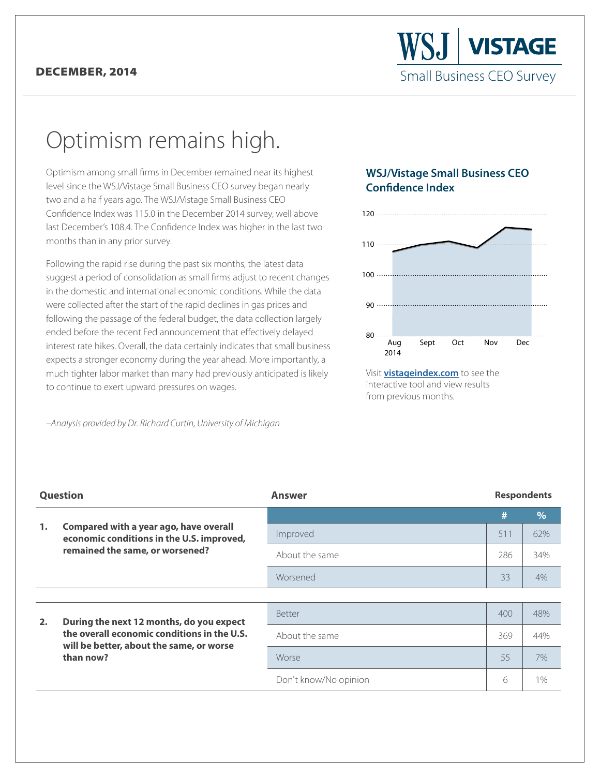## DECEMBER, 2014

## Optimism remains high.

Optimism among small firms in December remained near its highest level since the WSJ/Vistage Small Business CEO survey began nearly two and a half years ago. The WSJ/Vistage Small Business CEO Confidence Index was 115.0 in the December 2014 survey, well above last December's 108.4. The Confidence Index was higher in the last two months than in any prior survey.

Following the rapid rise during the past six months, the latest data suggest a period of consolidation as small firms adjust to recent changes in the domestic and international economic conditions. While the data were collected after the start of the rapid declines in gas prices and following the passage of the federal budget, the data collection largely ended before the recent Fed announcement that effectively delayed interest rate hikes. Overall, the data certainly indicates that small business expects a stronger economy during the year ahead. More importantly, a much tighter labor market than many had previously anticipated is likely to continue to exert upward pressures on wages.

*–Analysis provided by Dr. Richard Curtin, University of Michigan*

## **WSJ/Vistage Small Business CEO Confidence Index**



Visit **vistageindex.com** to see the [interactive tool and view results](www.vistageindex.com) from previous months.

| <b>Question</b> |                                                                                                                                                  | <b>Answer</b>         | <b>Respondents</b> |       |
|-----------------|--------------------------------------------------------------------------------------------------------------------------------------------------|-----------------------|--------------------|-------|
|                 |                                                                                                                                                  |                       | #                  | 9/6   |
| 1.              | Compared with a year ago, have overall<br>economic conditions in the U.S. improved,<br>remained the same, or worsened?                           | Improved              | 511                | 62%   |
|                 |                                                                                                                                                  | About the same        | 286                | 34%   |
|                 |                                                                                                                                                  | Worsened              | 33                 | 4%    |
|                 |                                                                                                                                                  |                       |                    |       |
| 2.              | During the next 12 months, do you expect<br>the overall economic conditions in the U.S.<br>will be better, about the same, or worse<br>than now? | <b>Better</b>         | 400                | 48%   |
|                 |                                                                                                                                                  | About the same        | 369                | 44%   |
|                 |                                                                                                                                                  | Worse                 | 55                 | 7%    |
|                 |                                                                                                                                                  | Don't know/No opinion | 6                  | $1\%$ |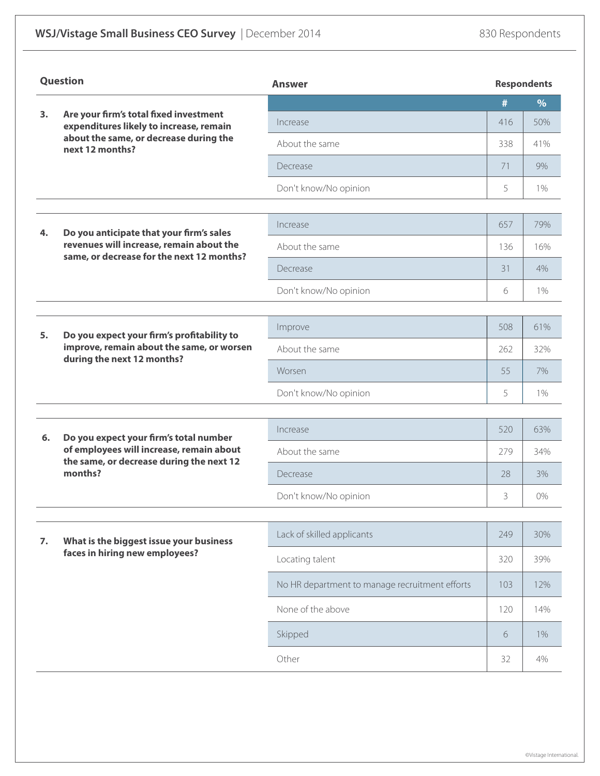| Question |                                                                                                                                                | <b>Answer</b>                                  |     | <b>Respondents</b> |  |
|----------|------------------------------------------------------------------------------------------------------------------------------------------------|------------------------------------------------|-----|--------------------|--|
|          | Are your firm's total fixed investment<br>expenditures likely to increase, remain<br>about the same, or decrease during the<br>next 12 months? |                                                | #   | $\%$               |  |
| 3.       |                                                                                                                                                | Increase                                       | 416 | 50%                |  |
|          |                                                                                                                                                | About the same                                 | 338 | 41%                |  |
|          |                                                                                                                                                | Decrease                                       | 71  | 9%                 |  |
|          |                                                                                                                                                | Don't know/No opinion                          | 5   | $1\%$              |  |
|          |                                                                                                                                                |                                                |     |                    |  |
| 4.       | Do you anticipate that your firm's sales<br>revenues will increase, remain about the<br>same, or decrease for the next 12 months?              | Increase                                       | 657 | 79%                |  |
|          |                                                                                                                                                | About the same                                 | 136 | 16%                |  |
|          |                                                                                                                                                | Decrease                                       | 31  | 4%                 |  |
|          |                                                                                                                                                | Don't know/No opinion                          | 6   | 1%                 |  |
|          |                                                                                                                                                |                                                |     |                    |  |
| 5.       | Do you expect your firm's profitability to<br>improve, remain about the same, or worsen<br>during the next 12 months?                          | Improve                                        | 508 | 61%                |  |
|          |                                                                                                                                                | About the same                                 | 262 | 32%                |  |
|          |                                                                                                                                                | Worsen                                         | 55  | 7%                 |  |
|          |                                                                                                                                                | Don't know/No opinion                          | 5   | 1%                 |  |
| 6.       | Do you expect your firm's total number<br>of employees will increase, remain about<br>the same, or decrease during the next 12<br>months?      | Increase                                       | 520 | 63%                |  |
|          |                                                                                                                                                | About the same                                 | 279 | 34%                |  |
|          |                                                                                                                                                | Decrease                                       | 28  | 3%                 |  |
|          |                                                                                                                                                | Don't know/No opinion                          | 3   | $0\%$              |  |
|          |                                                                                                                                                |                                                |     |                    |  |
| 7.       | What is the biggest issue your business<br>faces in hiring new employees?                                                                      | Lack of skilled applicants                     | 249 | 30%                |  |
|          |                                                                                                                                                | Locating talent                                | 320 | 39%                |  |
|          |                                                                                                                                                | No HR department to manage recruitment efforts | 103 | 12%                |  |
|          |                                                                                                                                                | None of the above                              | 120 | 14%                |  |
|          |                                                                                                                                                | Skipped                                        | 6   | $1\%$              |  |
|          |                                                                                                                                                | Other                                          | 32  | 4%                 |  |

©Vistage International.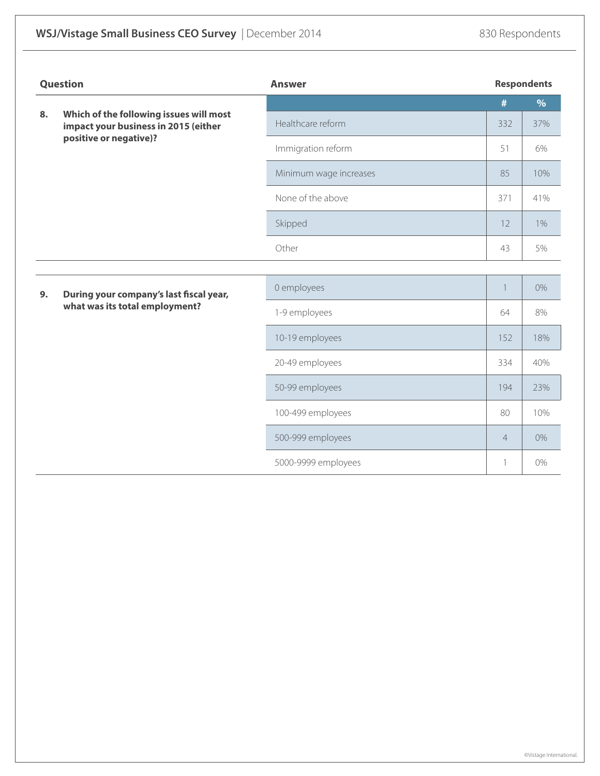| Question |                                                                                                           | <b>Answer</b>          | <b>Respondents</b>       |       |  |
|----------|-----------------------------------------------------------------------------------------------------------|------------------------|--------------------------|-------|--|
|          |                                                                                                           |                        | #                        | $\%$  |  |
| 8.       | Which of the following issues will most<br>impact your business in 2015 (either<br>positive or negative)? | Healthcare reform      | 332                      | 37%   |  |
|          |                                                                                                           | Immigration reform     | 51                       | 6%    |  |
|          |                                                                                                           | Minimum wage increases | 85                       | 10%   |  |
|          |                                                                                                           | None of the above      | 371                      | 41%   |  |
|          |                                                                                                           | Skipped                | 12                       | $1\%$ |  |
|          |                                                                                                           | Other                  | 43                       | 5%    |  |
|          |                                                                                                           |                        |                          |       |  |
| 9.       | During your company's last fiscal year,<br>what was its total employment?                                 | 0 employees            | $\overline{\phantom{a}}$ | $0\%$ |  |
|          |                                                                                                           | 1-9 employees          | 64                       | 8%    |  |
|          |                                                                                                           | 10-19 employees        | 152                      | 18%   |  |
|          |                                                                                                           | 20-49 employees        | 334                      | 40%   |  |
|          |                                                                                                           | 50-99 employees        | 194                      | 23%   |  |
|          |                                                                                                           | 100-499 employees      | 80                       | 10%   |  |
|          |                                                                                                           | 500-999 employees      | $\overline{4}$           | 0%    |  |
|          |                                                                                                           | 5000-9999 employees    | $\mathbf{1}$             | 0%    |  |